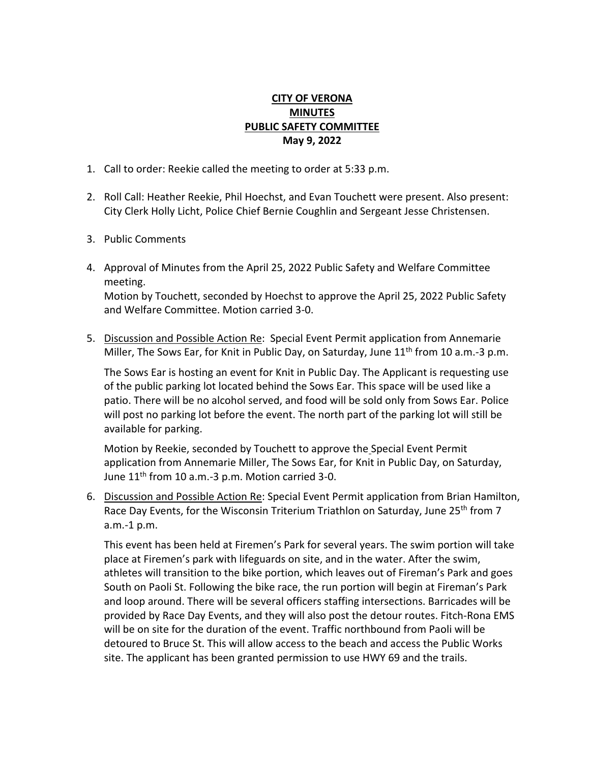## **CITY OF VERONA MINUTES PUBLIC SAFETY COMMITTEE May 9, 2022**

- 1. Call to order: Reekie called the meeting to order at 5:33 p.m.
- 2. Roll Call: Heather Reekie, Phil Hoechst, and Evan Touchett were present. Also present: City Clerk Holly Licht, Police Chief Bernie Coughlin and Sergeant Jesse Christensen.
- 3. Public Comments
- 4. Approval of Minutes from the April 25, 2022 Public Safety and Welfare Committee meeting. Motion by Touchett, seconded by Hoechst to approve the April 25, 2022 Public Safety and Welfare Committee. Motion carried 3-0.
- 5. Discussion and Possible Action Re: Special Event Permit application from Annemarie Miller, The Sows Ear, for Knit in Public Day, on Saturday, June 11<sup>th</sup> from 10 a.m.-3 p.m.

The Sows Ear is hosting an event for Knit in Public Day. The Applicant is requesting use of the public parking lot located behind the Sows Ear. This space will be used like a patio. There will be no alcohol served, and food will be sold only from Sows Ear. Police will post no parking lot before the event. The north part of the parking lot will still be available for parking.

Motion by Reekie, seconded by Touchett to approve the Special Event Permit application from Annemarie Miller, The Sows Ear, for Knit in Public Day, on Saturday, June  $11<sup>th</sup>$  from 10 a.m.-3 p.m. Motion carried 3-0.

6. Discussion and Possible Action Re: Special Event Permit application from Brian Hamilton, Race Day Events, for the Wisconsin Triterium Triathlon on Saturday, June 25<sup>th</sup> from 7 a.m.-1 p.m.

This event has been held at Firemen's Park for several years. The swim portion will take place at Firemen's park with lifeguards on site, and in the water. After the swim, athletes will transition to the bike portion, which leaves out of Fireman's Park and goes South on Paoli St. Following the bike race, the run portion will begin at Fireman's Park and loop around. There will be several officers staffing intersections. Barricades will be provided by Race Day Events, and they will also post the detour routes. Fitch-Rona EMS will be on site for the duration of the event. Traffic northbound from Paoli will be detoured to Bruce St. This will allow access to the beach and access the Public Works site. The applicant has been granted permission to use HWY 69 and the trails.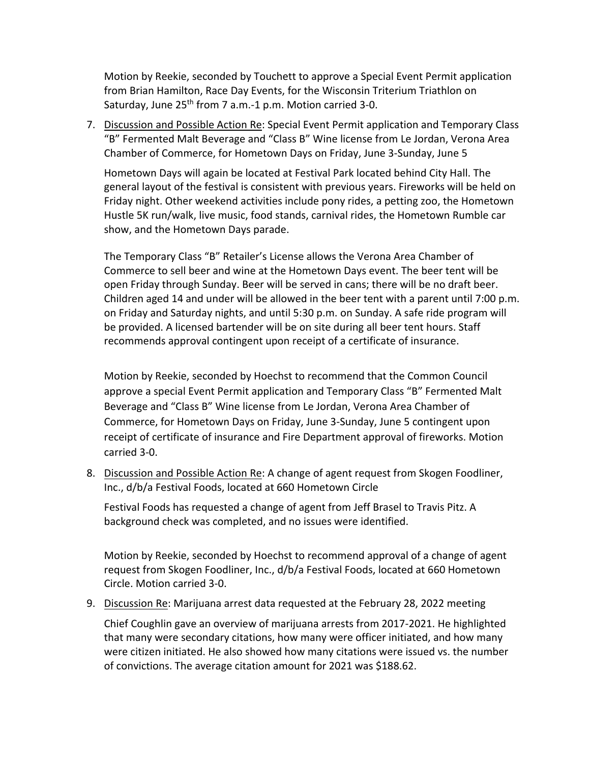Motion by Reekie, seconded by Touchett to approve a Special Event Permit application from Brian Hamilton, Race Day Events, for the Wisconsin Triterium Triathlon on Saturday, June 25<sup>th</sup> from 7 a.m.-1 p.m. Motion carried 3-0.

7. Discussion and Possible Action Re: Special Event Permit application and Temporary Class "B" Fermented Malt Beverage and "Class B" Wine license from Le Jordan, Verona Area Chamber of Commerce, for Hometown Days on Friday, June 3-Sunday, June 5

Hometown Days will again be located at Festival Park located behind City Hall. The general layout of the festival is consistent with previous years. Fireworks will be held on Friday night. Other weekend activities include pony rides, a petting zoo, the Hometown Hustle 5K run/walk, live music, food stands, carnival rides, the Hometown Rumble car show, and the Hometown Days parade.

The Temporary Class "B" Retailer's License allows the Verona Area Chamber of Commerce to sell beer and wine at the Hometown Days event. The beer tent will be open Friday through Sunday. Beer will be served in cans; there will be no draft beer. Children aged 14 and under will be allowed in the beer tent with a parent until 7:00 p.m. on Friday and Saturday nights, and until 5:30 p.m. on Sunday. A safe ride program will be provided. A licensed bartender will be on site during all beer tent hours. Staff recommends approval contingent upon receipt of a certificate of insurance.

Motion by Reekie, seconded by Hoechst to recommend that the Common Council approve a special Event Permit application and Temporary Class "B" Fermented Malt Beverage and "Class B" Wine license from Le Jordan, Verona Area Chamber of Commerce, for Hometown Days on Friday, June 3-Sunday, June 5 contingent upon receipt of certificate of insurance and Fire Department approval of fireworks. Motion carried 3-0.

8. Discussion and Possible Action Re: A change of agent request from Skogen Foodliner, Inc., d/b/a Festival Foods, located at 660 Hometown Circle

Festival Foods has requested a change of agent from Jeff Brasel to Travis Pitz. A background check was completed, and no issues were identified.

Motion by Reekie, seconded by Hoechst to recommend approval of a change of agent request from Skogen Foodliner, Inc., d/b/a Festival Foods, located at 660 Hometown Circle. Motion carried 3-0.

9. Discussion Re: Marijuana arrest data requested at the February 28, 2022 meeting

Chief Coughlin gave an overview of marijuana arrests from 2017-2021. He highlighted that many were secondary citations, how many were officer initiated, and how many were citizen initiated. He also showed how many citations were issued vs. the number of convictions. The average citation amount for 2021 was \$188.62.